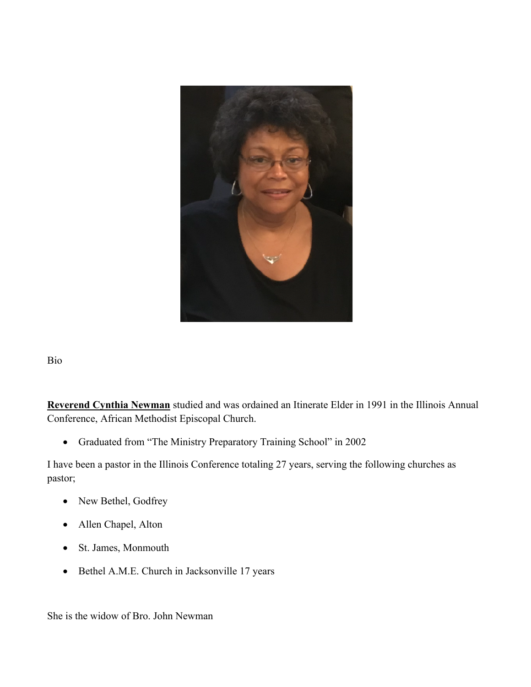

Bio

**Reverend Cynthia Newman** studied and was ordained an Itinerate Elder in 1991 in the Illinois Annual Conference, African Methodist Episcopal Church.

• Graduated from "The Ministry Preparatory Training School" in 2002

I have been a pastor in the Illinois Conference totaling 27 years, serving the following churches as pastor;

- New Bethel, Godfrey
- Allen Chapel, Alton
- St. James, Monmouth
- Bethel A.M.E. Church in Jacksonville 17 years

She is the widow of Bro. John Newman